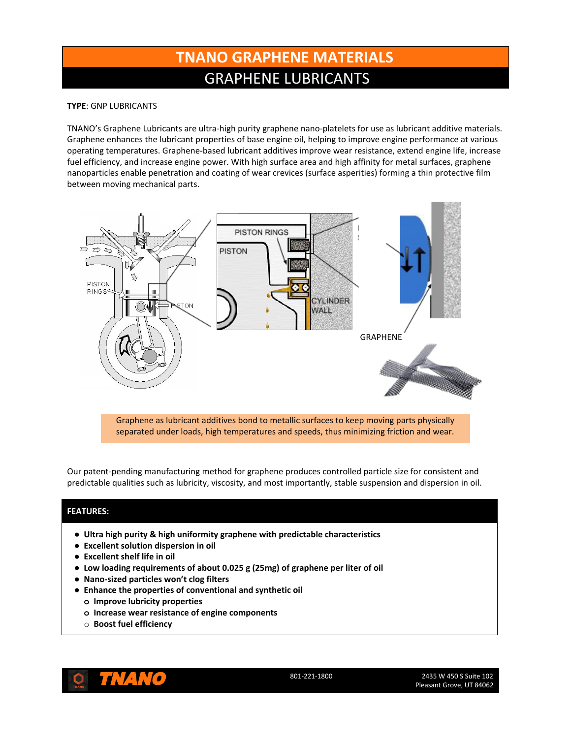# **TNANO GRAPHENE MATERIALS** GRAPHENE LUBRICANTS

### **TYPE**: GNP LUBRICANTS

TNANO's Graphene Lubricants are ultra-high purity graphene nano-platelets for use as lubricant additive materials. Graphene enhances the lubricant properties of base engine oil, helping to improve engine performance at various operating temperatures. Graphene-based lubricant additives improve wear resistance, extend engine life, increase fuel efficiency, and increase engine power. With high surface area and high affinity for metal surfaces, graphene nanoparticles enable penetration and coating of wear crevices (surface asperities) forming a thin protective film between moving mechanical parts.



Graphene as lubricant additives bond to metallic surfaces to keep moving parts physically separated under loads, high temperatures and speeds, thus minimizing friction and wear.

Our patent-pending manufacturing method for graphene produces controlled particle size for consistent and predictable qualities such as lubricity, viscosity, and most importantly, stable suspension and dispersion in oil.

### **FEATURES:**

- **● Ultra high purity & high uniformity graphene with predictable characteristics**
- **● Excellent solution dispersion in oil**
- **● Excellent shelf life in oil**
- **● Low loading requirements of about 0.025 g (25mg) of graphene per liter of oil**
- **● Nano-sized particles won't clog filters**
- **● Enhance the properties of conventional and synthetic oil**
	- **o Improve lubricity properties**
	- **o Increase wear resistance of engine components**
	- o **Boost fuel efficiency**



TNANO 801-221-1800 2435 W 450 S Suite 102 Pleasant Grove, UT 84062